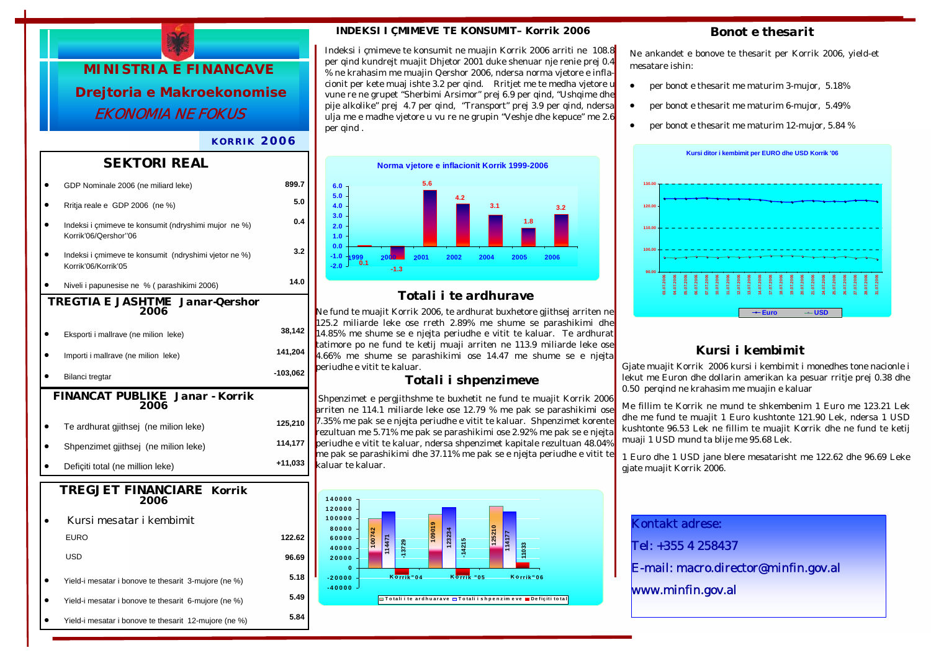

#### *KORRIK 2006*

### *SEKTORI REAL*

|                                                | GDP Nominale 2006 (ne miliard leke)                                          | 899.7      |  |  |
|------------------------------------------------|------------------------------------------------------------------------------|------------|--|--|
|                                                | Rritja reale e GDP 2006 (ne %)                                               | 5.0        |  |  |
|                                                | Indeksi i çmimeve te konsumit (ndryshimi mujor ne %)<br>Korrik'06/Qershor"06 | 0.4        |  |  |
|                                                | Indeksi i çmimeve te konsumit (ndryshimi vjetor ne %)<br>Korrik'06/Korrik'05 | 3.2        |  |  |
|                                                | Niveli i papunesise ne % ( parashikimi 2006)                                 | 14.0       |  |  |
| TREGTIA E JASHTME Janar-Qershor<br>2006        |                                                                              |            |  |  |
|                                                | Eksporti i mallrave (ne milion leke)                                         | 38,142     |  |  |
|                                                | Importi i mallrave (ne milion leke)                                          | 141,204    |  |  |
|                                                | Bilanci tregtar                                                              | $-103,062$ |  |  |
| <b>FINANCAT PUBLIKE Janar - Korrik</b><br>2006 |                                                                              |            |  |  |
|                                                |                                                                              | 125,210    |  |  |
|                                                | Te ardhurat gjithsej (ne milion leke)                                        |            |  |  |
|                                                | Shpenzimet gjithsej (ne milion leke)                                         | 114,177    |  |  |
|                                                | Deficiti total (ne million leke)                                             | +11,033    |  |  |
| <b>TREGJET FINANCIARE Korrik</b><br>2006       |                                                                              |            |  |  |
|                                                | Kursi mesatar i kembimit                                                     |            |  |  |
|                                                |                                                                              |            |  |  |
|                                                | EURO                                                                         | 122.62     |  |  |
|                                                | <b>USD</b>                                                                   | 96.69      |  |  |
|                                                | Yield-i mesatar i bonove te thesarit 3-mujore (ne %)                         | 5.18       |  |  |
|                                                | Yield-i mesatar i bonove te thesarit 6-mujore (ne %)                         | 5.49       |  |  |

#### *INDEKSI I ÇMIMEVE TE KONSUMIT– Korrik 2006*

Indeksi i çmimeve te konsumit ne muajin Korrik 2006 arriti ne 108.8 per qind kundrejt muajit Dhjetor 2001 duke shenuar nje renie prej 0.4 % ne krahasim me muajin Qershor 2006, ndersa norma vjetore e inflacionit per kete muaj ishte 3.2 per qind. Rritjet me te medha vjetore u vune re ne grupet "Sherbimi Arsimor" prej 6.9 per qind. "Ushqime dhe pije alkolike" prej 4.7 per qind, "Transport" prej 3.9 per qind, ndersa ulja me e madhe vjetore u vu re ne grupin "Veshje dhe kepuce" me 2.6 per gind.



### *Totali i te ardhurave*

Ne fund te muajit Korrik 2006, te ardhurat buxhetore gjithsej arriten ne 125.2 miliarde leke ose rreth 2.89% me shume se parashikimi dhe 14.85% me shume se e njejta periudhe e vitit te kaluar. Te ardhurat tatimore po ne fund te ketij muaji arriten ne 113.9 miliarde leke ose 4.66% me shume se parashikimi ose 14.47 me shume se e njejta periudhe e vitit te kaluar.

#### *Totali i shpenzimeve*

 Shpenzimet e pergjithshme te buxhetit ne fund te muajit Korrik 2006 arriten ne 114.1 miliarde leke ose 12.79 % me pak se parashikimi ose 7.35% me pak se e njejta periudhe e vitit te kaluar. Shpenzimet korente rezultuan me 5.71% me pak se parashikimi ose 2.92% me pak se e njejta periudhe e vitit te kaluar, ndersa shpenzimet kapitale rezultuan 48.04% me pak se parashikimi dhe 37.11% me pak se e njejta periudhe e vitit te kaluar te kaluar.



#### *Bonot e thesarit*

Ne ankandet e bonove te thesarit per Korrik 2006, yield-et mesatare ishin:

- per bonot e thesarit me maturim 3-mujor, 5.18%
- per bonot e thesarit me maturim 6-mujor, 5.49%
- per bonot e thesarit me maturim 12-mujor, 5.84 %



## *Kursi i kembimit*

Gjate muajit Korrik 2006 kursi i kembimit i monedhes tone nacionle i lekut me Euron dhe dollarin amerikan ka pesuar rritje prej 0.38 dhe 0.50 perqind ne krahasim me muajin e kaluar

Me fillim te Korrik ne mund te shkembenim 1 Euro me 123.21 Lek dhe me fund te muajit 1 Euro kushtonte 121.90 Lek, ndersa 1 USD kushtonte 96.53 Lek ne fillim te muajit Korrik dhe ne fund te ketij muaji 1 USD mund ta blije me 95.68 Lek.

1 Euro dhe 1 USD jane blere mesatarisht me 122.62 dhe 96.69 Leke gjate muajit Korrik 2006.

Kontakt adrese:

Tel: +355 4 258437

E-mail: macro.director@minfin.gov.al

www.minfin.gov.al